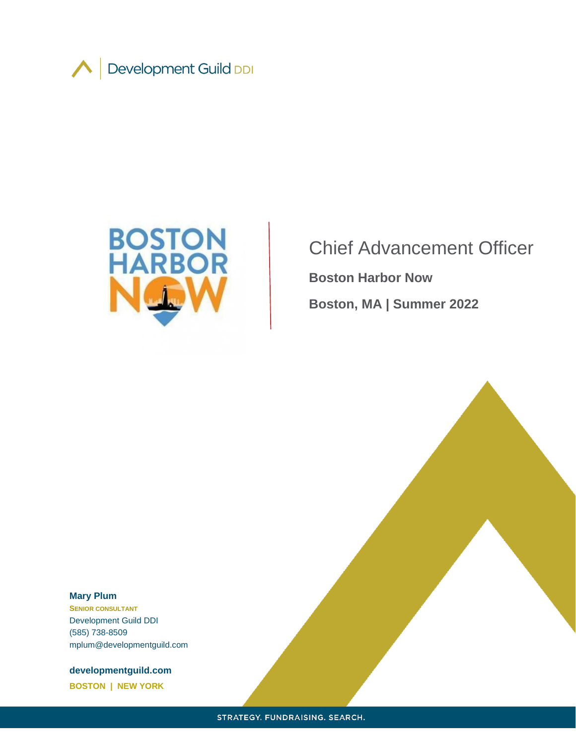



Chief Advancement Officer **Boston Harbor Now Boston, MA | Summer 2022**

#### **Mary Plum**

**SENIOR CONSULTANT** Development Guild DDI (585) 738-8509 mplum@developmentguild.com

**developmentguild.com BOSTON | NEW YORK**

STRATEGY. FUNDRAISING. SEARCH.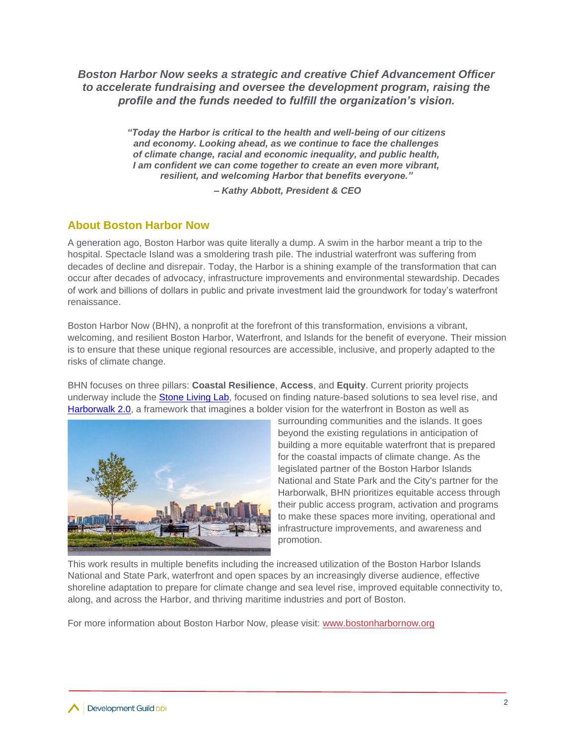*Boston Harbor Now seeks a strategic and creative Chief Advancement Officer to accelerate fundraising and oversee the development program, raising the profile and the funds needed to fulfill the organization's vision.*

> *"Today the Harbor is critical to the health and well-being of our citizens and economy. Looking ahead, as we continue to face the challenges of climate change, racial and economic inequality, and public health, I am confident we can come together to create an even more vibrant, resilient, and welcoming Harbor that benefits everyone."*

> > *– Kathy Abbott, President & CEO*

# **About Boston Harbor Now**

A generation ago, Boston Harbor was quite literally a dump. A swim in the harbor meant a trip to the hospital. Spectacle Island was a smoldering trash pile. The industrial waterfront was suffering from decades of decline and disrepair. Today, the Harbor is a shining example of the transformation that can occur after decades of advocacy, infrastructure improvements and environmental stewardship. Decades of work and billions of dollars in public and private investment laid the groundwork for today's waterfront renaissance.

Boston Harbor Now (BHN), a nonprofit at the forefront of this transformation, envisions a vibrant, welcoming, and resilient Boston Harbor, Waterfront, and Islands for the benefit of everyone. Their mission is to ensure that these unique regional resources are accessible, inclusive, and properly adapted to the risks of climate change.

BHN focuses on three pillars: **Coastal Resilience**, **Access**, and **Equity**. Current priority projects underway include the **Stone Living Lab**, focused on finding nature-based solutions to sea level rise, and [Harborwalk 2.0,](https://www.bostonglobe.com/opinion/2018/08/13/seize-moment-boston-harborwalk/Kpu9MqDrDVAy0BQ32GHIGM/story.html) a framework that imagines a bolder vision for the waterfront in Boston as well as



surrounding communities and the islands. It goes beyond the existing regulations in anticipation of building a more equitable waterfront that is prepared for the coastal impacts of climate change. As the legislated partner of the Boston Harbor Islands National and State Park and the City's partner for the Harborwalk, BHN prioritizes equitable access through their public access program, activation and programs to make these spaces more inviting, operational and infrastructure improvements, and awareness and promotion.

This work results in multiple benefits including the increased utilization of the Boston Harbor Islands National and State Park, waterfront and open spaces by an increasingly diverse audience, effective shoreline adaptation to prepare for climate change and sea level rise, improved equitable connectivity to, along, and across the Harbor, and thriving maritime industries and port of Boston.

For more information about Boston Harbor Now, please visit: [www.bostonharbornow.org](http://www.bostonharbornow.org/)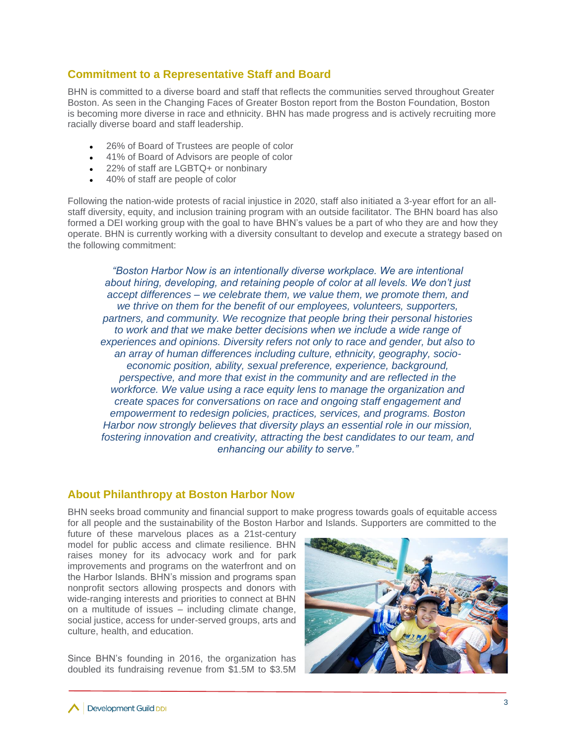### **Commitment to a Representative Staff and Board**

BHN is committed to a diverse board and staff that reflects the communities served throughout Greater Boston. As seen in the Changing Faces of Greater Boston report from the Boston Foundation, Boston is becoming more diverse in race and ethnicity. BHN has made progress and is actively recruiting more racially diverse board and staff leadership.

- 26% of Board of Trustees are people of color
- 41% of Board of Advisors are people of color
- 22% of staff are LGBTQ+ or nonbinary
- 40% of staff are people of color

Following the nation-wide protests of racial injustice in 2020, staff also initiated a 3-year effort for an allstaff diversity, equity, and inclusion training program with an outside facilitator. The BHN board has also formed a DEI working group with the goal to have BHN's values be a part of who they are and how they operate. BHN is currently working with a diversity consultant to develop and execute a strategy based on the following commitment:

*"Boston Harbor Now is an intentionally diverse workplace. We are intentional about hiring, developing, and retaining people of color at all levels. We don't just accept differences – we celebrate them, we value them, we promote them, and we thrive on them for the benefit of our employees, volunteers, supporters, partners, and community. We recognize that people bring their personal histories*  to work and that we make better decisions when we include a wide range of *experiences and opinions. Diversity refers not only to race and gender, but also to an array of human differences including culture, ethnicity, geography, socioeconomic position, ability, sexual preference, experience, background, perspective, and more that exist in the community and are reflected in the workforce. We value using a race equity lens to manage the organization and create spaces for conversations on race and ongoing staff engagement and empowerment to redesign policies, practices, services, and programs. Boston Harbor now strongly believes that diversity plays an essential role in our mission, fostering innovation and creativity, attracting the best candidates to our team, and enhancing our ability to serve."*

### **About Philanthropy at Boston Harbor Now**

BHN seeks broad community and financial support to make progress towards goals of equitable access for all people and the sustainability of the Boston Harbor and Islands. Supporters are committed to the

future of these marvelous places as a 21st-century model for public access and climate resilience. BHN raises money for its advocacy work and for park improvements and programs on the waterfront and on the Harbor Islands. BHN's mission and programs span nonprofit sectors allowing prospects and donors with wide-ranging interests and priorities to connect at BHN on a multitude of issues – including climate change, social justice, access for under-served groups, arts and culture, health, and education.

Since BHN's founding in 2016, the organization has doubled its fundraising revenue from \$1.5M to \$3.5M

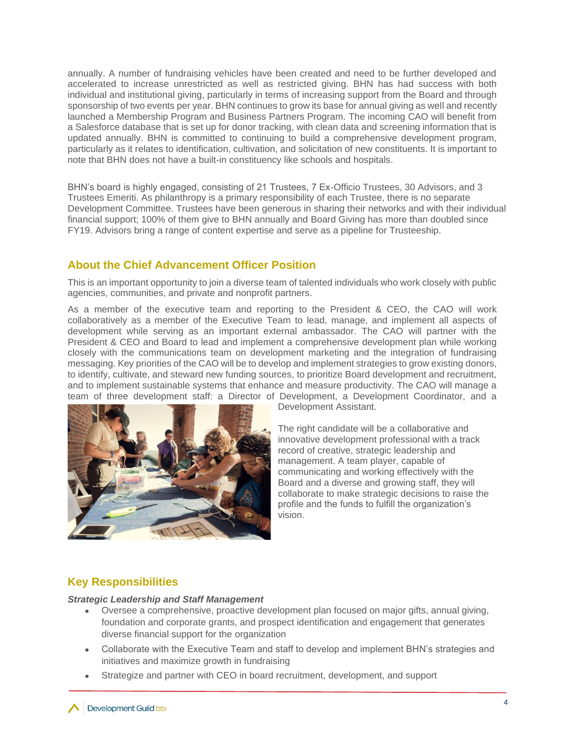annually. A number of fundraising vehicles have been created and need to be further developed and accelerated to increase unrestricted as well as restricted giving. BHN has had success with both individual and institutional giving, particularly in terms of increasing support from the Board and through sponsorship of two events per year. BHN continues to grow its base for annual giving as well and recently launched a Membership Program and Business Partners Program. The incoming CAO will benefit from a Salesforce database that is set up for donor tracking, with clean data and screening information that is updated annually. BHN is committed to continuing to build a comprehensive development program, particularly as it relates to identification, cultivation, and solicitation of new constituents. It is important to note that BHN does not have a built-in constituency like schools and hospitals.

BHN's board is highly engaged, consisting of 21 Trustees, 7 Ex-Officio Trustees, 30 Advisors, and 3 Trustees Emeriti. As philanthropy is a primary responsibility of each Trustee, there is no separate Development Committee. Trustees have been generous in sharing their networks and with their individual financial support; 100% of them give to BHN annually and Board Giving has more than doubled since FY19. Advisors bring a range of content expertise and serve as a pipeline for Trusteeship.

# **About the Chief Advancement Officer Position**

This is an important opportunity to join a diverse team of talented individuals who work closely with public agencies, communities, and private and nonprofit partners.

As a member of the executive team and reporting to the President & CEO, the CAO will work collaboratively as a member of the Executive Team to lead, manage, and implement all aspects of development while serving as an important external ambassador. The CAO will partner with the President & CEO and Board to lead and implement a comprehensive development plan while working closely with the communications team on development marketing and the integration of fundraising messaging. Key priorities of the CAO will be to develop and implement strategies to grow existing donors, to identify, cultivate, and steward new funding sources, to prioritize Board development and recruitment, and to implement sustainable systems that enhance and measure productivity. The CAO will manage a team of three development staff: a Director of Development, a Development Coordinator, and a



Development Assistant.

The right candidate will be a collaborative and innovative development professional with a track record of creative, strategic leadership and management. A team player, capable of communicating and working effectively with the Board and a diverse and growing staff, they will collaborate to make strategic decisions to raise the profile and the funds to fulfill the organization's vision.

### **Key Responsibilities**

#### *Strategic Leadership and Staff Management*

- Oversee a comprehensive, proactive development plan focused on major gifts, annual giving, foundation and corporate grants, and prospect identification and engagement that generates diverse financial support for the organization
- Collaborate with the Executive Team and staff to develop and implement BHN's strategies and initiatives and maximize growth in fundraising
- Strategize and partner with CEO in board recruitment, development, and support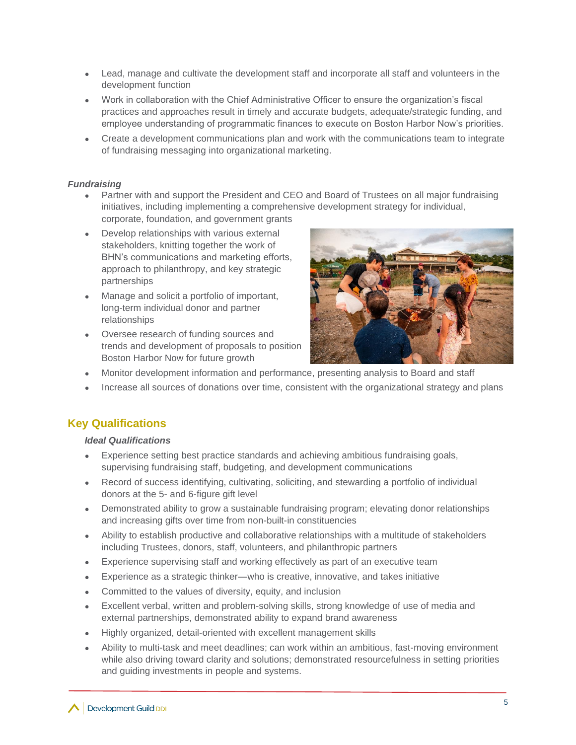- Lead, manage and cultivate the development staff and incorporate all staff and volunteers in the development function
- Work in collaboration with the Chief Administrative Officer to ensure the organization's fiscal practices and approaches result in timely and accurate budgets, adequate/strategic funding, and employee understanding of programmatic finances to execute on Boston Harbor Now's priorities.
- Create a development communications plan and work with the communications team to integrate of fundraising messaging into organizational marketing.

### *Fundraising*

- Partner with and support the President and CEO and Board of Trustees on all major fundraising initiatives, including implementing a comprehensive development strategy for individual, corporate, foundation, and government grants
- Develop relationships with various external stakeholders, knitting together the work of BHN's communications and marketing efforts, approach to philanthropy, and key strategic partnerships
- Manage and solicit a portfolio of important, long-term individual donor and partner relationships
- Oversee research of funding sources and trends and development of proposals to position Boston Harbor Now for future growth



- Monitor development information and performance, presenting analysis to Board and staff
- Increase all sources of donations over time, consistent with the organizational strategy and plans

### **Key Qualifications**

#### *Ideal Qualifications*

- Experience setting best practice standards and achieving ambitious fundraising goals, supervising fundraising staff, budgeting, and development communications
- Record of success identifying, cultivating, soliciting, and stewarding a portfolio of individual donors at the 5- and 6-figure gift level
- Demonstrated ability to grow a sustainable fundraising program; elevating donor relationships and increasing gifts over time from non-built-in constituencies
- Ability to establish productive and collaborative relationships with a multitude of stakeholders including Trustees, donors, staff, volunteers, and philanthropic partners
- Experience supervising staff and working effectively as part of an executive team
- Experience as a strategic thinker—who is creative, innovative, and takes initiative
- Committed to the values of diversity, equity, and inclusion
- Excellent verbal, written and problem-solving skills, strong knowledge of use of media and external partnerships, demonstrated ability to expand brand awareness
- Highly organized, detail-oriented with excellent management skills
- Ability to multi-task and meet deadlines; can work within an ambitious, fast-moving environment while also driving toward clarity and solutions; demonstrated resourcefulness in setting priorities and guiding investments in people and systems.